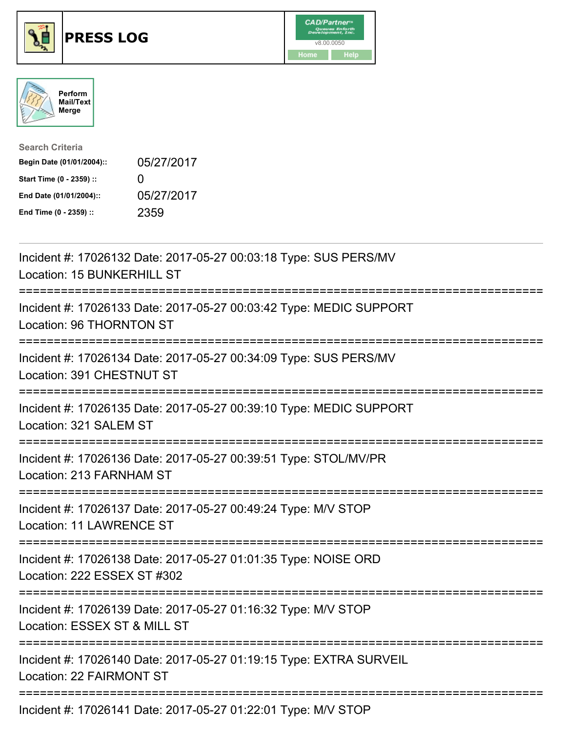





| <b>Search Criteria</b>    |              |
|---------------------------|--------------|
| Begin Date (01/01/2004):: | 05/27/2017   |
| Start Time (0 - 2359) ::  | $\mathbf{I}$ |
| End Date (01/01/2004)::   | 05/27/2017   |
| End Time (0 - 2359) ::    | 2359         |

| Incident #: 17026132 Date: 2017-05-27 00:03:18 Type: SUS PERS/MV<br>Location: 15 BUNKERHILL ST                                                        |
|-------------------------------------------------------------------------------------------------------------------------------------------------------|
| Incident #: 17026133 Date: 2017-05-27 00:03:42 Type: MEDIC SUPPORT<br>Location: 96 THORNTON ST                                                        |
| Incident #: 17026134 Date: 2017-05-27 00:34:09 Type: SUS PERS/MV<br>Location: 391 CHESTNUT ST                                                         |
| Incident #: 17026135 Date: 2017-05-27 00:39:10 Type: MEDIC SUPPORT<br>Location: 321 SALEM ST                                                          |
| Incident #: 17026136 Date: 2017-05-27 00:39:51 Type: STOL/MV/PR<br>Location: 213 FARNHAM ST<br>=====================================                  |
| Incident #: 17026137 Date: 2017-05-27 00:49:24 Type: M/V STOP<br>Location: 11 LAWRENCE ST<br>.------------------------------------                    |
| Incident #: 17026138 Date: 2017-05-27 01:01:35 Type: NOISE ORD<br>Location: 222 ESSEX ST #302                                                         |
| Incident #: 17026139 Date: 2017-05-27 01:16:32 Type: M/V STOP<br>Location: ESSEX ST & MILL ST<br>;=======================<br>------------------------ |
| Incident #: 17026140 Date: 2017-05-27 01:19:15 Type: EXTRA SURVEIL<br>Location: 22 FAIRMONT ST                                                        |
| Incident #: 17026141 Date: 2017-05-27 01:22:01 Type: M/V STOP                                                                                         |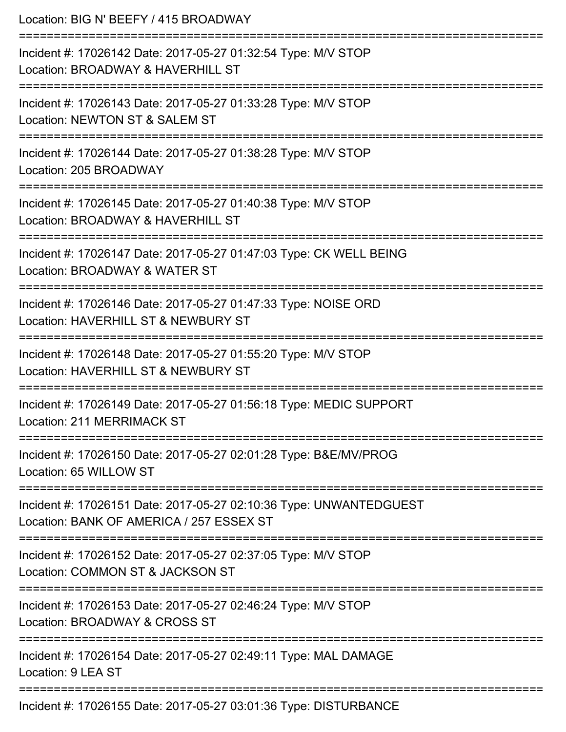| Location: BIG N' BEEFY / 415 BROADWAY                                                                                               |
|-------------------------------------------------------------------------------------------------------------------------------------|
| Incident #: 17026142 Date: 2017-05-27 01:32:54 Type: M/V STOP<br>Location: BROADWAY & HAVERHILL ST                                  |
| Incident #: 17026143 Date: 2017-05-27 01:33:28 Type: M/V STOP<br>Location: NEWTON ST & SALEM ST<br>=========================        |
| Incident #: 17026144 Date: 2017-05-27 01:38:28 Type: M/V STOP<br>Location: 205 BROADWAY                                             |
| Incident #: 17026145 Date: 2017-05-27 01:40:38 Type: M/V STOP<br>Location: BROADWAY & HAVERHILL ST<br>============================= |
| Incident #: 17026147 Date: 2017-05-27 01:47:03 Type: CK WELL BEING<br>Location: BROADWAY & WATER ST                                 |
| Incident #: 17026146 Date: 2017-05-27 01:47:33 Type: NOISE ORD<br>Location: HAVERHILL ST & NEWBURY ST                               |
| Incident #: 17026148 Date: 2017-05-27 01:55:20 Type: M/V STOP<br>Location: HAVERHILL ST & NEWBURY ST                                |
| Incident #: 17026149 Date: 2017-05-27 01:56:18 Type: MEDIC SUPPORT<br>Location: 211 MERRIMACK ST                                    |
| Incident #: 17026150 Date: 2017-05-27 02:01:28 Type: B&E/MV/PROG<br>Location: 65 WILLOW ST                                          |
| Incident #: 17026151 Date: 2017-05-27 02:10:36 Type: UNWANTEDGUEST<br>Location: BANK OF AMERICA / 257 ESSEX ST                      |
| Incident #: 17026152 Date: 2017-05-27 02:37:05 Type: M/V STOP<br>Location: COMMON ST & JACKSON ST                                   |
| Incident #: 17026153 Date: 2017-05-27 02:46:24 Type: M/V STOP<br>Location: BROADWAY & CROSS ST                                      |
| Incident #: 17026154 Date: 2017-05-27 02:49:11 Type: MAL DAMAGE<br>Location: 9 LEA ST                                               |
| Incident #: 17026155 Date: 2017-05-27 03:01:36 Type: DISTURBANCE                                                                    |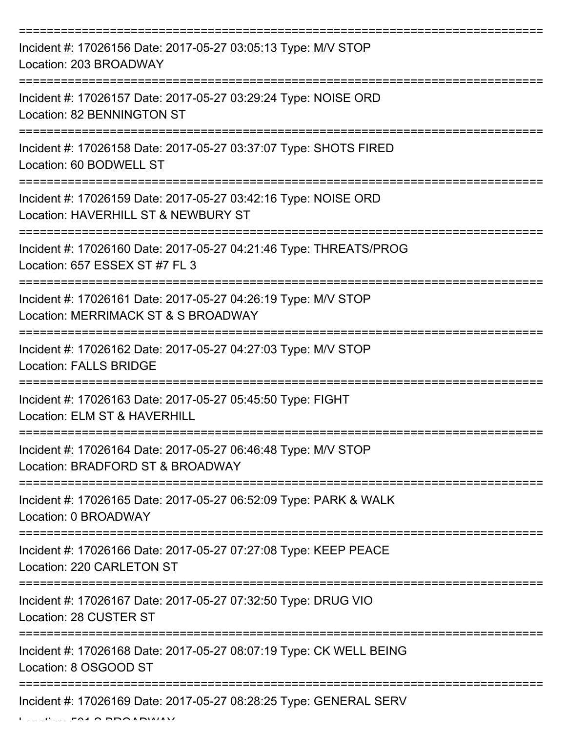| Incident #: 17026156 Date: 2017-05-27 03:05:13 Type: M/V STOP<br>Location: 203 BROADWAY               |
|-------------------------------------------------------------------------------------------------------|
| Incident #: 17026157 Date: 2017-05-27 03:29:24 Type: NOISE ORD<br>Location: 82 BENNINGTON ST          |
| Incident #: 17026158 Date: 2017-05-27 03:37:07 Type: SHOTS FIRED<br>Location: 60 BODWELL ST           |
| Incident #: 17026159 Date: 2017-05-27 03:42:16 Type: NOISE ORD<br>Location: HAVERHILL ST & NEWBURY ST |
| Incident #: 17026160 Date: 2017-05-27 04:21:46 Type: THREATS/PROG<br>Location: 657 ESSEX ST #7 FL 3   |
| Incident #: 17026161 Date: 2017-05-27 04:26:19 Type: M/V STOP<br>Location: MERRIMACK ST & S BROADWAY  |
| Incident #: 17026162 Date: 2017-05-27 04:27:03 Type: M/V STOP<br><b>Location: FALLS BRIDGE</b>        |
| Incident #: 17026163 Date: 2017-05-27 05:45:50 Type: FIGHT<br>Location: ELM ST & HAVERHILL            |
| Incident #: 17026164 Date: 2017-05-27 06:46:48 Type: M/V STOP<br>Location: BRADFORD ST & BROADWAY     |
| Incident #: 17026165 Date: 2017-05-27 06:52:09 Type: PARK & WALK<br>Location: 0 BROADWAY              |
| Incident #: 17026166 Date: 2017-05-27 07:27:08 Type: KEEP PEACE<br>Location: 220 CARLETON ST          |
| Incident #: 17026167 Date: 2017-05-27 07:32:50 Type: DRUG VIO<br>Location: 28 CUSTER ST               |
| Incident #: 17026168 Date: 2017-05-27 08:07:19 Type: CK WELL BEING<br>Location: 8 OSGOOD ST           |
| Incident #: 17026169 Date: 2017-05-27 08:28:25 Type: GENERAL SERV                                     |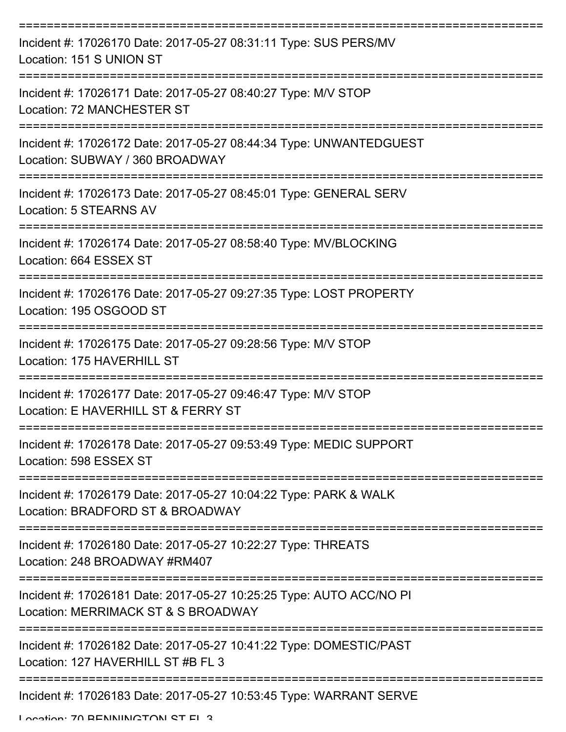| Incident #: 17026170 Date: 2017-05-27 08:31:11 Type: SUS PERS/MV<br>Location: 151 S UNION ST                           |
|------------------------------------------------------------------------------------------------------------------------|
| Incident #: 17026171 Date: 2017-05-27 08:40:27 Type: M/V STOP<br><b>Location: 72 MANCHESTER ST</b>                     |
| Incident #: 17026172 Date: 2017-05-27 08:44:34 Type: UNWANTEDGUEST<br>Location: SUBWAY / 360 BROADWAY                  |
| Incident #: 17026173 Date: 2017-05-27 08:45:01 Type: GENERAL SERV<br>Location: 5 STEARNS AV                            |
| Incident #: 17026174 Date: 2017-05-27 08:58:40 Type: MV/BLOCKING<br>Location: 664 ESSEX ST                             |
| Incident #: 17026176 Date: 2017-05-27 09:27:35 Type: LOST PROPERTY<br>Location: 195 OSGOOD ST                          |
| Incident #: 17026175 Date: 2017-05-27 09:28:56 Type: M/V STOP<br>Location: 175 HAVERHILL ST                            |
| Incident #: 17026177 Date: 2017-05-27 09:46:47 Type: M/V STOP<br>Location: E HAVERHILL ST & FERRY ST                   |
| Incident #: 17026178 Date: 2017-05-27 09:53:49 Type: MEDIC SUPPORT<br>Location: 598 ESSEX ST                           |
| --------------<br>Incident #: 17026179 Date: 2017-05-27 10:04:22 Type: PARK & WALK<br>Location: BRADFORD ST & BROADWAY |
| Incident #: 17026180 Date: 2017-05-27 10:22:27 Type: THREATS<br>Location: 248 BROADWAY #RM407                          |
| Incident #: 17026181 Date: 2017-05-27 10:25:25 Type: AUTO ACC/NO PI<br>Location: MERRIMACK ST & S BROADWAY             |
| Incident #: 17026182 Date: 2017-05-27 10:41:22 Type: DOMESTIC/PAST<br>Location: 127 HAVERHILL ST #B FL 3               |
| Incident #: 17026183 Date: 2017-05-27 10:53:45 Type: WARRANT SERVE                                                     |

Location: 70 BENNINGTON ST EL 3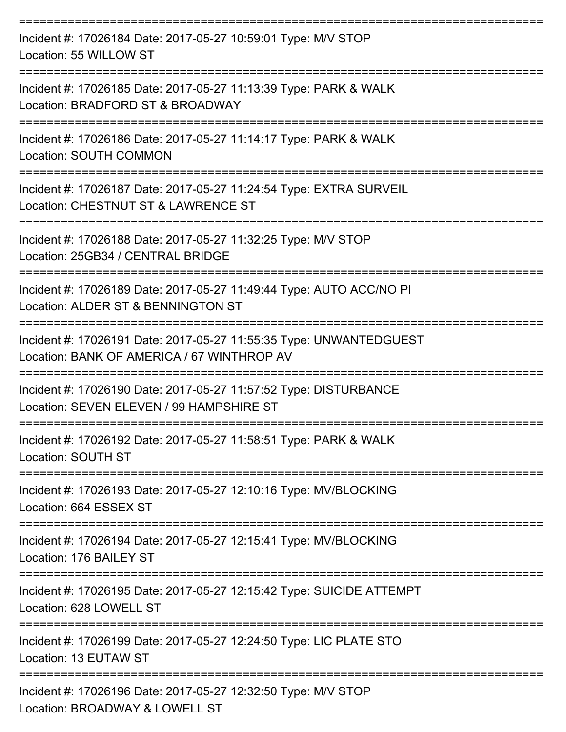| Incident #: 17026184 Date: 2017-05-27 10:59:01 Type: M/V STOP<br>Location: 55 WILLOW ST                          |
|------------------------------------------------------------------------------------------------------------------|
| Incident #: 17026185 Date: 2017-05-27 11:13:39 Type: PARK & WALK<br>Location: BRADFORD ST & BROADWAY             |
| Incident #: 17026186 Date: 2017-05-27 11:14:17 Type: PARK & WALK<br><b>Location: SOUTH COMMON</b>                |
| Incident #: 17026187 Date: 2017-05-27 11:24:54 Type: EXTRA SURVEIL<br>Location: CHESTNUT ST & LAWRENCE ST        |
| Incident #: 17026188 Date: 2017-05-27 11:32:25 Type: M/V STOP<br>Location: 25GB34 / CENTRAL BRIDGE               |
| Incident #: 17026189 Date: 2017-05-27 11:49:44 Type: AUTO ACC/NO PI<br>Location: ALDER ST & BENNINGTON ST        |
| Incident #: 17026191 Date: 2017-05-27 11:55:35 Type: UNWANTEDGUEST<br>Location: BANK OF AMERICA / 67 WINTHROP AV |
| Incident #: 17026190 Date: 2017-05-27 11:57:52 Type: DISTURBANCE<br>Location: SEVEN ELEVEN / 99 HAMPSHIRE ST     |
| Incident #: 17026192 Date: 2017-05-27 11:58:51 Type: PARK & WALK<br>Location: SOUTH ST                           |
| Incident #: 17026193 Date: 2017-05-27 12:10:16 Type: MV/BLOCKING<br>Location: 664 ESSEX ST                       |
| Incident #: 17026194 Date: 2017-05-27 12:15:41 Type: MV/BLOCKING<br>Location: 176 BAILEY ST                      |
| Incident #: 17026195 Date: 2017-05-27 12:15:42 Type: SUICIDE ATTEMPT<br>Location: 628 LOWELL ST                  |
| Incident #: 17026199 Date: 2017-05-27 12:24:50 Type: LIC PLATE STO<br>Location: 13 EUTAW ST                      |
| Incident #: 17026196 Date: 2017-05-27 12:32:50 Type: M/V STOP<br>Location: BROADWAY & LOWELL ST                  |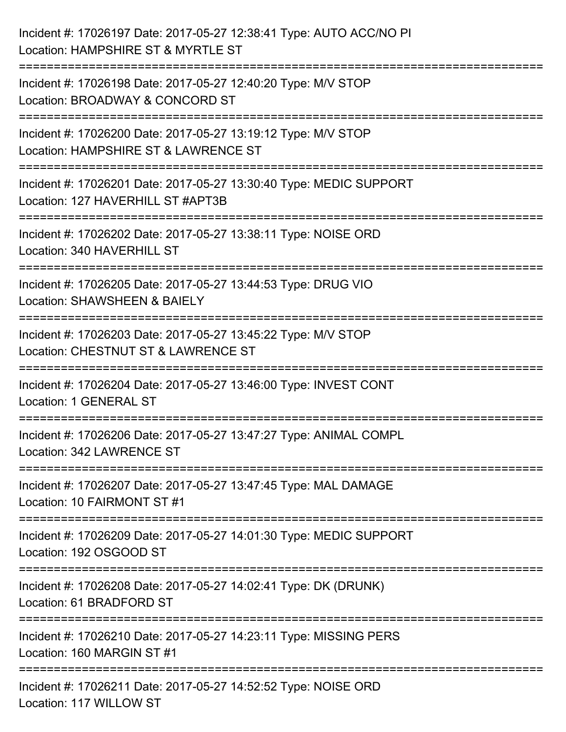| Incident #: 17026197 Date: 2017-05-27 12:38:41 Type: AUTO ACC/NO PI<br>Location: HAMPSHIRE ST & MYRTLE ST                         |
|-----------------------------------------------------------------------------------------------------------------------------------|
| Incident #: 17026198 Date: 2017-05-27 12:40:20 Type: M/V STOP<br>Location: BROADWAY & CONCORD ST                                  |
| Incident #: 17026200 Date: 2017-05-27 13:19:12 Type: M/V STOP<br>Location: HAMPSHIRE ST & LAWRENCE ST<br>================         |
| Incident #: 17026201 Date: 2017-05-27 13:30:40 Type: MEDIC SUPPORT<br>Location: 127 HAVERHILL ST #APT3B<br>.===================== |
| Incident #: 17026202 Date: 2017-05-27 13:38:11 Type: NOISE ORD<br>Location: 340 HAVERHILL ST                                      |
| Incident #: 17026205 Date: 2017-05-27 13:44:53 Type: DRUG VIO<br>Location: SHAWSHEEN & BAIELY                                     |
| :===================<br>Incident #: 17026203 Date: 2017-05-27 13:45:22 Type: M/V STOP<br>Location: CHESTNUT ST & LAWRENCE ST      |
| Incident #: 17026204 Date: 2017-05-27 13:46:00 Type: INVEST CONT<br><b>Location: 1 GENERAL ST</b>                                 |
| Incident #: 17026206 Date: 2017-05-27 13:47:27 Type: ANIMAL COMPL<br>Location: 342 LAWRENCE ST                                    |
| Incident #: 17026207 Date: 2017-05-27 13:47:45 Type: MAL DAMAGE<br>Location: 10 FAIRMONT ST #1                                    |
| Incident #: 17026209 Date: 2017-05-27 14:01:30 Type: MEDIC SUPPORT<br>Location: 192 OSGOOD ST                                     |
| Incident #: 17026208 Date: 2017-05-27 14:02:41 Type: DK (DRUNK)<br>Location: 61 BRADFORD ST                                       |
| Incident #: 17026210 Date: 2017-05-27 14:23:11 Type: MISSING PERS<br>Location: 160 MARGIN ST #1                                   |
| ------------------<br>Incident #: 17026211 Date: 2017-05-27 14:52:52 Type: NOISE ORD<br>Location: 117 WILLOW ST                   |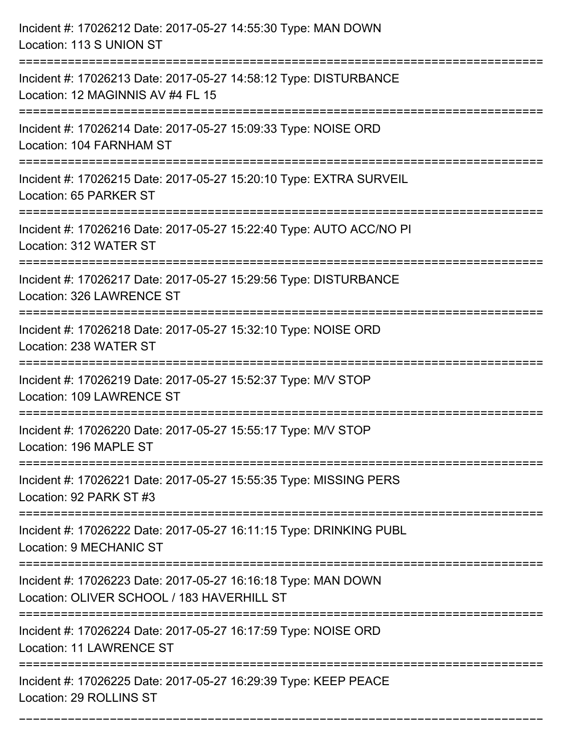| Incident #: 17026212 Date: 2017-05-27 14:55:30 Type: MAN DOWN<br>Location: 113 S UNION ST                                                       |
|-------------------------------------------------------------------------------------------------------------------------------------------------|
| ======================================<br>Incident #: 17026213 Date: 2017-05-27 14:58:12 Type: DISTURBANCE<br>Location: 12 MAGINNIS AV #4 FL 15 |
| Incident #: 17026214 Date: 2017-05-27 15:09:33 Type: NOISE ORD<br>Location: 104 FARNHAM ST<br>:======================                           |
| Incident #: 17026215 Date: 2017-05-27 15:20:10 Type: EXTRA SURVEIL<br>Location: 65 PARKER ST                                                    |
| Incident #: 17026216 Date: 2017-05-27 15:22:40 Type: AUTO ACC/NO PI<br>Location: 312 WATER ST                                                   |
| Incident #: 17026217 Date: 2017-05-27 15:29:56 Type: DISTURBANCE<br>Location: 326 LAWRENCE ST                                                   |
| Incident #: 17026218 Date: 2017-05-27 15:32:10 Type: NOISE ORD<br>Location: 238 WATER ST                                                        |
| Incident #: 17026219 Date: 2017-05-27 15:52:37 Type: M/V STOP<br>Location: 109 LAWRENCE ST                                                      |
| Incident #: 17026220 Date: 2017-05-27 15:55:17 Type: M/V STOP<br>Location: 196 MAPLE ST                                                         |
| Incident #: 17026221 Date: 2017-05-27 15:55:35 Type: MISSING PERS<br>Location: 92 PARK ST #3                                                    |
| Incident #: 17026222 Date: 2017-05-27 16:11:15 Type: DRINKING PUBL<br>Location: 9 MECHANIC ST                                                   |
| Incident #: 17026223 Date: 2017-05-27 16:16:18 Type: MAN DOWN<br>Location: OLIVER SCHOOL / 183 HAVERHILL ST                                     |
| Incident #: 17026224 Date: 2017-05-27 16:17:59 Type: NOISE ORD<br>Location: 11 LAWRENCE ST                                                      |
| Incident #: 17026225 Date: 2017-05-27 16:29:39 Type: KEEP PEACE<br>Location: 29 ROLLINS ST                                                      |

===========================================================================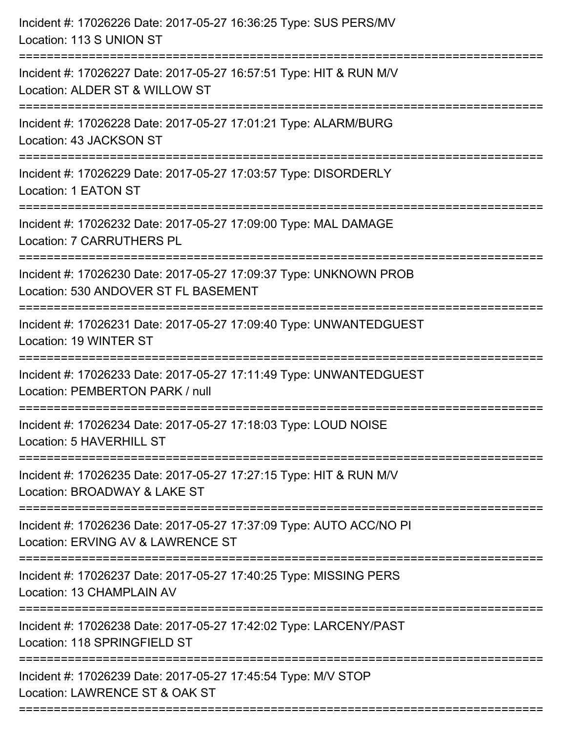| Incident #: 17026226 Date: 2017-05-27 16:36:25 Type: SUS PERS/MV<br>Location: 113 S UNION ST              |
|-----------------------------------------------------------------------------------------------------------|
| Incident #: 17026227 Date: 2017-05-27 16:57:51 Type: HIT & RUN M/V<br>Location: ALDER ST & WILLOW ST      |
| Incident #: 17026228 Date: 2017-05-27 17:01:21 Type: ALARM/BURG<br>Location: 43 JACKSON ST                |
| Incident #: 17026229 Date: 2017-05-27 17:03:57 Type: DISORDERLY<br>Location: 1 EATON ST                   |
| Incident #: 17026232 Date: 2017-05-27 17:09:00 Type: MAL DAMAGE<br><b>Location: 7 CARRUTHERS PL</b>       |
| Incident #: 17026230 Date: 2017-05-27 17:09:37 Type: UNKNOWN PROB<br>Location: 530 ANDOVER ST FL BASEMENT |
| Incident #: 17026231 Date: 2017-05-27 17:09:40 Type: UNWANTEDGUEST<br>Location: 19 WINTER ST              |
| Incident #: 17026233 Date: 2017-05-27 17:11:49 Type: UNWANTEDGUEST<br>Location: PEMBERTON PARK / null     |
| Incident #: 17026234 Date: 2017-05-27 17:18:03 Type: LOUD NOISE<br>Location: 5 HAVERHILL ST               |
| Incident #: 17026235 Date: 2017-05-27 17:27:15 Type: HIT & RUN M/V<br>Location: BROADWAY & LAKE ST        |
| Incident #: 17026236 Date: 2017-05-27 17:37:09 Type: AUTO ACC/NO PI<br>Location: ERVING AV & LAWRENCE ST  |
| Incident #: 17026237 Date: 2017-05-27 17:40:25 Type: MISSING PERS<br>Location: 13 CHAMPLAIN AV            |
| Incident #: 17026238 Date: 2017-05-27 17:42:02 Type: LARCENY/PAST<br>Location: 118 SPRINGFIELD ST         |
| Incident #: 17026239 Date: 2017-05-27 17:45:54 Type: M/V STOP<br>Location: LAWRENCE ST & OAK ST           |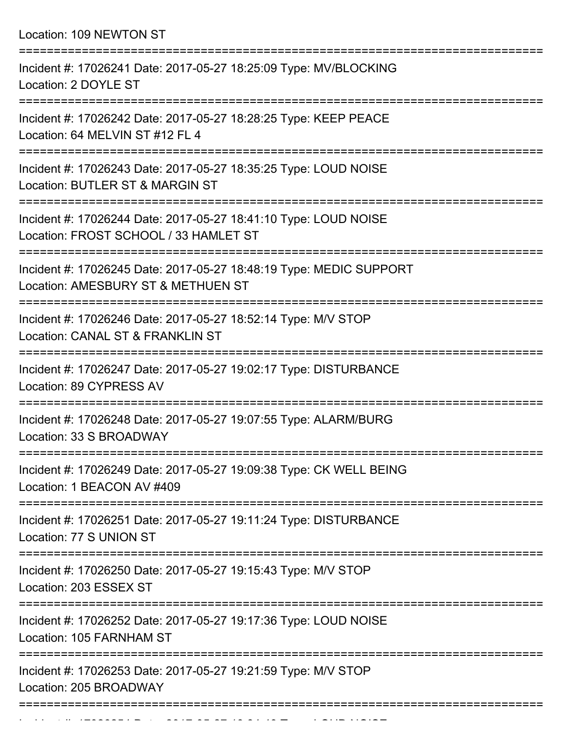Location: 109 NEWTON ST =========================================================================== Incident #: 17026241 Date: 2017-05-27 18:25:09 Type: MV/BLOCKING Location: 2 DOYLE ST =========================================================================== Incident #: 17026242 Date: 2017-05-27 18:28:25 Type: KEEP PEACE Location: 64 MELVIN ST #12 FL 4 =========================================================================== Incident #: 17026243 Date: 2017-05-27 18:35:25 Type: LOUD NOISE Location: BUTLER ST & MARGIN ST =========================================================================== Incident #: 17026244 Date: 2017-05-27 18:41:10 Type: LOUD NOISE Location: FROST SCHOOL / 33 HAMLET ST =========================================================================== Incident #: 17026245 Date: 2017-05-27 18:48:19 Type: MEDIC SUPPORT Location: AMESBURY ST & METHUEN ST =========================================================================== Incident #: 17026246 Date: 2017-05-27 18:52:14 Type: M/V STOP Location: CANAL ST & FRANKLIN ST =========================================================================== Incident #: 17026247 Date: 2017-05-27 19:02:17 Type: DISTURBANCE Location: 89 CYPRESS AV =========================================================================== Incident #: 17026248 Date: 2017-05-27 19:07:55 Type: ALARM/BURG Location: 33 S BROADWAY =========================================================================== Incident #: 17026249 Date: 2017-05-27 19:09:38 Type: CK WELL BEING Location: 1 BEACON AV #409 =========================================================================== Incident #: 17026251 Date: 2017-05-27 19:11:24 Type: DISTURBANCE

Location: 77 S UNION ST

===========================================================================

Incident #: 17026250 Date: 2017-05-27 19:15:43 Type: M/V STOP

Location: 203 ESSEX ST

===========================================================================

Incident #: 17026252 Date: 2017-05-27 19:17:36 Type: LOUD NOISE

Location: 105 FARNHAM ST

===========================================================================

===========================================================================

Incident #: 17026253 Date: 2017-05-27 19:21:59 Type: M/V STOP Location: 205 BROADWAY

Incident #: 17026254 Date: 2017 05 27 19:34:49 Type: LOUD NOISE<br>.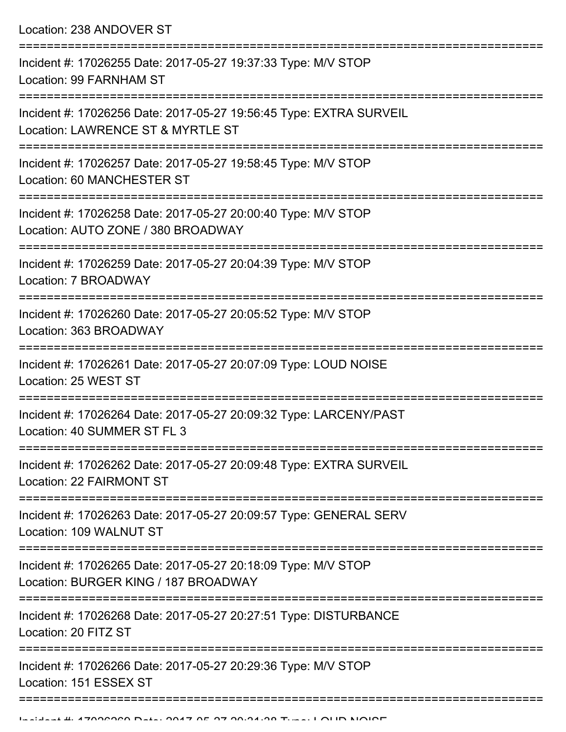Location: 238 ANDOVER ST

| Incident #: 17026255 Date: 2017-05-27 19:37:33 Type: M/V STOP<br>Location: 99 FARNHAM ST                       |
|----------------------------------------------------------------------------------------------------------------|
| Incident #: 17026256 Date: 2017-05-27 19:56:45 Type: EXTRA SURVEIL<br>Location: LAWRENCE ST & MYRTLE ST        |
| Incident #: 17026257 Date: 2017-05-27 19:58:45 Type: M/V STOP<br>Location: 60 MANCHESTER ST                    |
| Incident #: 17026258 Date: 2017-05-27 20:00:40 Type: M/V STOP<br>Location: AUTO ZONE / 380 BROADWAY            |
| Incident #: 17026259 Date: 2017-05-27 20:04:39 Type: M/V STOP<br>Location: 7 BROADWAY                          |
| Incident #: 17026260 Date: 2017-05-27 20:05:52 Type: M/V STOP<br>Location: 363 BROADWAY                        |
| Incident #: 17026261 Date: 2017-05-27 20:07:09 Type: LOUD NOISE<br>Location: 25 WEST ST                        |
| Incident #: 17026264 Date: 2017-05-27 20:09:32 Type: LARCENY/PAST<br>Location: 40 SUMMER ST FL 3               |
| Incident #: 17026262 Date: 2017-05-27 20:09:48 Type: EXTRA SURVEIL<br>Location: 22 FAIRMONT ST                 |
| --------------<br>Incident #: 17026263 Date: 2017-05-27 20:09:57 Type: GENERAL SERV<br>Location: 109 WALNUT ST |
| Incident #: 17026265 Date: 2017-05-27 20:18:09 Type: M/V STOP<br>Location: BURGER KING / 187 BROADWAY          |
| Incident #: 17026268 Date: 2017-05-27 20:27:51 Type: DISTURBANCE<br>Location: 20 FITZ ST                       |
| Incident #: 17026266 Date: 2017-05-27 20:29:36 Type: M/V STOP<br>Location: 151 ESSEX ST                        |
|                                                                                                                |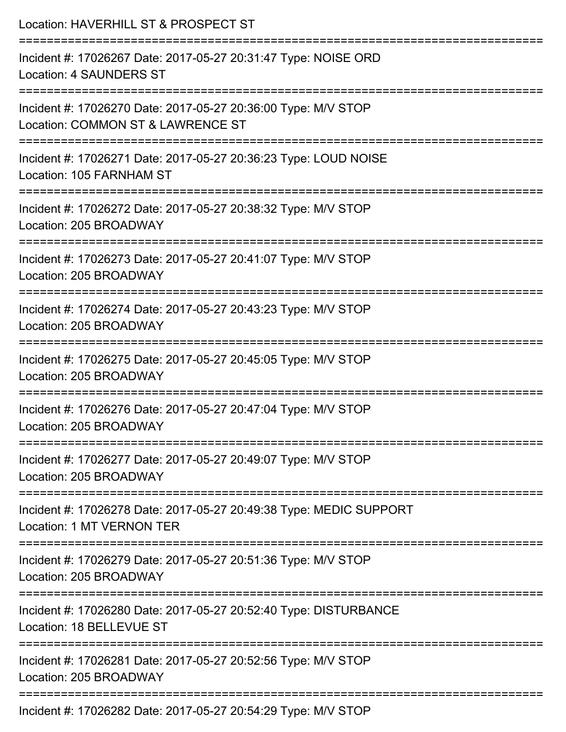| Location: HAVERHILL ST & PROSPECT ST                                                               |
|----------------------------------------------------------------------------------------------------|
| Incident #: 17026267 Date: 2017-05-27 20:31:47 Type: NOISE ORD<br><b>Location: 4 SAUNDERS ST</b>   |
| Incident #: 17026270 Date: 2017-05-27 20:36:00 Type: M/V STOP<br>Location: COMMON ST & LAWRENCE ST |
| Incident #: 17026271 Date: 2017-05-27 20:36:23 Type: LOUD NOISE<br>Location: 105 FARNHAM ST        |
| Incident #: 17026272 Date: 2017-05-27 20:38:32 Type: M/V STOP<br>Location: 205 BROADWAY            |
| Incident #: 17026273 Date: 2017-05-27 20:41:07 Type: M/V STOP<br>Location: 205 BROADWAY            |
| Incident #: 17026274 Date: 2017-05-27 20:43:23 Type: M/V STOP<br>Location: 205 BROADWAY            |
| Incident #: 17026275 Date: 2017-05-27 20:45:05 Type: M/V STOP<br>Location: 205 BROADWAY            |
| Incident #: 17026276 Date: 2017-05-27 20:47:04 Type: M/V STOP<br>Location: 205 BROADWAY            |
| Incident #: 17026277 Date: 2017-05-27 20:49:07 Type: M/V STOP<br>Location: 205 BROADWAY            |
| Incident #: 17026278 Date: 2017-05-27 20:49:38 Type: MEDIC SUPPORT<br>Location: 1 MT VERNON TER    |
| Incident #: 17026279 Date: 2017-05-27 20:51:36 Type: M/V STOP<br>Location: 205 BROADWAY            |
| Incident #: 17026280 Date: 2017-05-27 20:52:40 Type: DISTURBANCE<br>Location: 18 BELLEVUE ST       |
| Incident #: 17026281 Date: 2017-05-27 20:52:56 Type: M/V STOP<br>Location: 205 BROADWAY            |
|                                                                                                    |

Incident #: 17026282 Date: 2017-05-27 20:54:29 Type: M/V STOP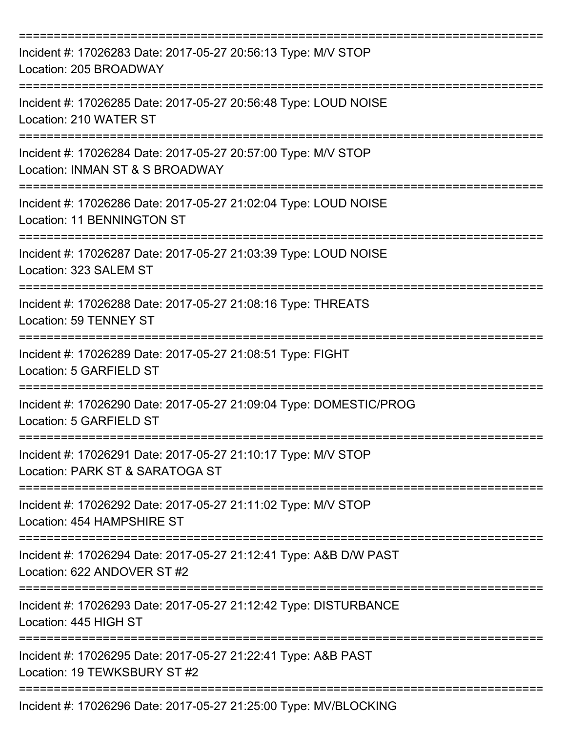| Incident #: 17026283 Date: 2017-05-27 20:56:13 Type: M/V STOP<br>Location: 205 BROADWAY                     |
|-------------------------------------------------------------------------------------------------------------|
| Incident #: 17026285 Date: 2017-05-27 20:56:48 Type: LOUD NOISE<br>Location: 210 WATER ST                   |
| Incident #: 17026284 Date: 2017-05-27 20:57:00 Type: M/V STOP<br>Location: INMAN ST & S BROADWAY            |
| Incident #: 17026286 Date: 2017-05-27 21:02:04 Type: LOUD NOISE<br>Location: 11 BENNINGTON ST               |
| Incident #: 17026287 Date: 2017-05-27 21:03:39 Type: LOUD NOISE<br>Location: 323 SALEM ST                   |
| Incident #: 17026288 Date: 2017-05-27 21:08:16 Type: THREATS<br><b>Location: 59 TENNEY ST</b>               |
| Incident #: 17026289 Date: 2017-05-27 21:08:51 Type: FIGHT<br>Location: 5 GARFIELD ST                       |
| ==========<br>Incident #: 17026290 Date: 2017-05-27 21:09:04 Type: DOMESTIC/PROG<br>Location: 5 GARFIELD ST |
| Incident #: 17026291 Date: 2017-05-27 21:10:17 Type: M/V STOP<br>Location: PARK ST & SARATOGA ST            |
| Incident #: 17026292 Date: 2017-05-27 21:11:02 Type: M/V STOP<br>Location: 454 HAMPSHIRE ST                 |
| Incident #: 17026294 Date: 2017-05-27 21:12:41 Type: A&B D/W PAST<br>Location: 622 ANDOVER ST #2            |
| Incident #: 17026293 Date: 2017-05-27 21:12:42 Type: DISTURBANCE<br>Location: 445 HIGH ST                   |
| Incident #: 17026295 Date: 2017-05-27 21:22:41 Type: A&B PAST<br>Location: 19 TEWKSBURY ST #2               |
| Incident #: 17026296 Date: 2017-05-27 21:25:00 Type: MV/BLOCKING                                            |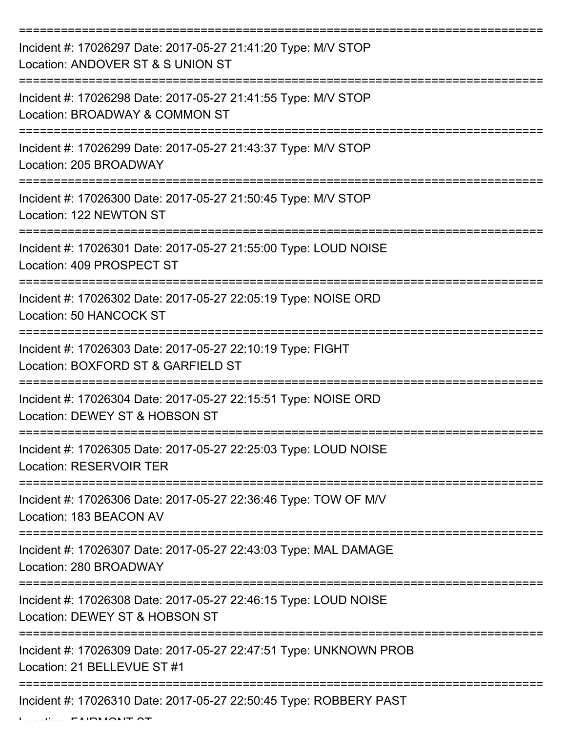| Incident #: 17026297 Date: 2017-05-27 21:41:20 Type: M/V STOP<br>Location: ANDOVER ST & S UNION ST |
|----------------------------------------------------------------------------------------------------|
| Incident #: 17026298 Date: 2017-05-27 21:41:55 Type: M/V STOP<br>Location: BROADWAY & COMMON ST    |
| Incident #: 17026299 Date: 2017-05-27 21:43:37 Type: M/V STOP<br>Location: 205 BROADWAY            |
| Incident #: 17026300 Date: 2017-05-27 21:50:45 Type: M/V STOP<br>Location: 122 NEWTON ST           |
| Incident #: 17026301 Date: 2017-05-27 21:55:00 Type: LOUD NOISE<br>Location: 409 PROSPECT ST       |
| Incident #: 17026302 Date: 2017-05-27 22:05:19 Type: NOISE ORD<br>Location: 50 HANCOCK ST          |
| Incident #: 17026303 Date: 2017-05-27 22:10:19 Type: FIGHT<br>Location: BOXFORD ST & GARFIELD ST   |
| Incident #: 17026304 Date: 2017-05-27 22:15:51 Type: NOISE ORD<br>Location: DEWEY ST & HOBSON ST   |
| Incident #: 17026305 Date: 2017-05-27 22:25:03 Type: LOUD NOISE<br><b>Location: RESERVOIR TER</b>  |
| Incident #: 17026306 Date: 2017-05-27 22:36:46 Type: TOW OF M/V<br>Location: 183 BEACON AV         |
| Incident #: 17026307 Date: 2017-05-27 22:43:03 Type: MAL DAMAGE<br>Location: 280 BROADWAY          |
| Incident #: 17026308 Date: 2017-05-27 22:46:15 Type: LOUD NOISE<br>Location: DEWEY ST & HOBSON ST  |
| Incident #: 17026309 Date: 2017-05-27 22:47:51 Type: UNKNOWN PROB<br>Location: 21 BELLEVUE ST #1   |
| Incident #: 17026310 Date: 2017-05-27 22:50:45 Type: ROBBERY PAST                                  |

Location: FAIRMONT ST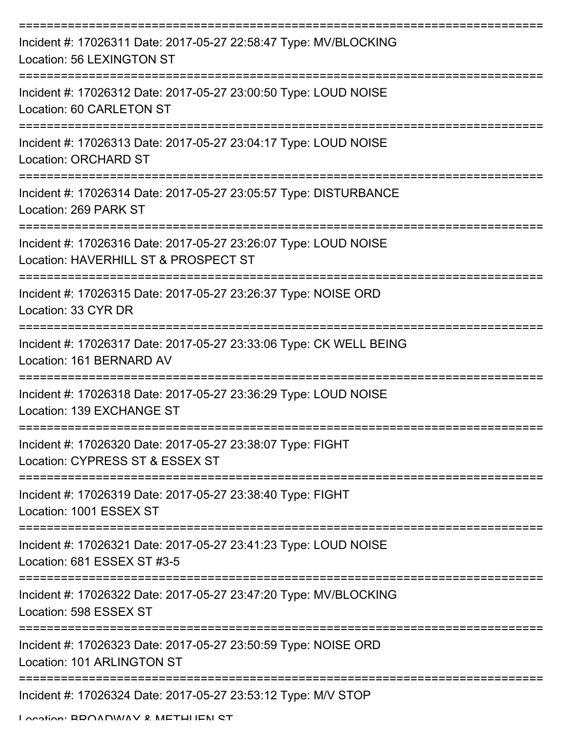| Incident #: 17026311 Date: 2017-05-27 22:58:47 Type: MV/BLOCKING<br>Location: 56 LEXINGTON ST                             |
|---------------------------------------------------------------------------------------------------------------------------|
| Incident #: 17026312 Date: 2017-05-27 23:00:50 Type: LOUD NOISE<br>Location: 60 CARLETON ST                               |
| Incident #: 17026313 Date: 2017-05-27 23:04:17 Type: LOUD NOISE<br><b>Location: ORCHARD ST</b>                            |
| Incident #: 17026314 Date: 2017-05-27 23:05:57 Type: DISTURBANCE<br>Location: 269 PARK ST                                 |
| Incident #: 17026316 Date: 2017-05-27 23:26:07 Type: LOUD NOISE<br>Location: HAVERHILL ST & PROSPECT ST                   |
| Incident #: 17026315 Date: 2017-05-27 23:26:37 Type: NOISE ORD<br>Location: 33 CYR DR<br>-------------------------------- |
| Incident #: 17026317 Date: 2017-05-27 23:33:06 Type: CK WELL BEING<br>Location: 161 BERNARD AV                            |
| Incident #: 17026318 Date: 2017-05-27 23:36:29 Type: LOUD NOISE<br>Location: 139 EXCHANGE ST                              |
| Incident #: 17026320 Date: 2017-05-27 23:38:07 Type: FIGHT<br>Location: CYPRESS ST & ESSEX ST                             |
| Incident #: 17026319 Date: 2017-05-27 23:38:40 Type: FIGHT<br>Location: 1001 ESSEX ST                                     |
| Incident #: 17026321 Date: 2017-05-27 23:41:23 Type: LOUD NOISE<br>Location: 681 ESSEX ST #3-5                            |
| Incident #: 17026322 Date: 2017-05-27 23:47:20 Type: MV/BLOCKING<br>Location: 598 ESSEX ST                                |
| Incident #: 17026323 Date: 2017-05-27 23:50:59 Type: NOISE ORD<br>Location: 101 ARLINGTON ST                              |
| Incident #: 17026324 Date: 2017-05-27 23:53:12 Type: M/V STOP                                                             |

Location: BROADWAY & METHUEN ST